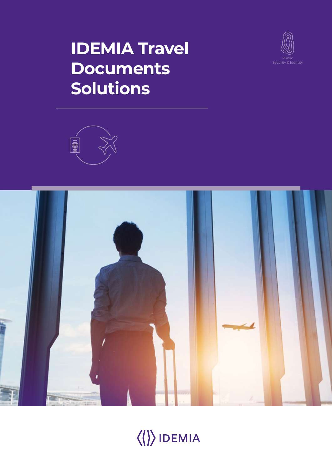## **IDEMIA Travel Documents Solutions**







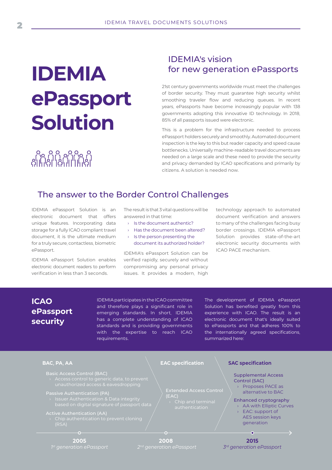# **IDEMIA ePassport Solution**

## IDEMIA's vision for new generation ePassports

21st century governments worldwide must meet the challenges of border security. They must guarantee high security whilst smoothing traveler flow and reducing queues. In recent years, ePassports have become increasingly popular with 138 governments adopting this innovative ID technology. In 2018, 85% of all passports issued were electronic.

This is a problem for the infrastructure needed to process ePassport holders securely and smoothly. Automated document inspection is the key to this but reader capacity and speed cause bottlenecks. Universally machine-readable travel documents are needed on a large scale and these need to provide the security and privacy demanded by ICAO specifications and primarily by citizens. A solution is needed now.

## The answer to the Border Control Challenges

IDEMIA ePassport Solution is an electronic document that offers unique features. Incorporating data storage for a fully ICAO compliant travel document, it is the ultimate medium for a truly secure, contactless, biometric ePassport.

ନ୍ଧ ନ୍ମମ୍ପ୍ ଜୁନ<br>ଗୋମାଲିକା ଜୋଗ

IDEMIA ePassport Solution enables electronic document readers to perform verification in less than 3 seconds.

The result is that 3 vital questions will be answered in that time:

- › Is the document authentic?
- › Has the document been altered?
- › Is the person presenting the document its authorized holder?

IDEMIA's ePassport Solution can be verified rapidly, securely and without compromising any personal privacy issues. It provides a modern, high

technology approach to automated document verification and answers to many of the challenges facing busy border crossings. IDEMIA ePassport Solution provides state-of-the-art electronic security documents with ICAO PACE mechanism.

## **ICAO ePassport security**

IDEMIA participates in the ICAO committee and therefore plays a significant role in emerging standards. In short, IDEMIA has a complete understanding of ICAO standards and is providing governments with the expertise to reach ICAO requirements.

The development of IDEMIA ePassport Solution has benefited greatly from this experience with ICAO. The result is an electronic document that's ideally suited to ePassports and that adheres 100% to the internationally agreed specifications, summarized here:

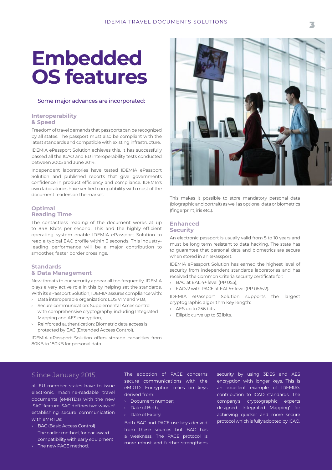## **Embedded OS features**

#### Some major advances are incorporated:

#### **Interoperability & Speed**

Freedom of travel demands that passports can be recognized by all states. The passport must also be compliant with the latest standards and compatible with existing infrastructure.

IDEMIA ePassport Solution achieves this. It has successfully passed all the ICAO and EU interoperability tests conducted between 2005 and June 2014.

Independent laboratories have tested IDEMIA ePassport Solution and published reports that give governments confidence in product efficiency and compliance. IDEMIA's own laboratories have verified compatibility with most of the document readers on the market.

#### **Optimal Reading Time**

The contactless reading of the document works at up to 848 Kbits per second. This and the highly efficient operating system enable IDEMIA ePassport Solution to read a typical EAC profile within 3 seconds. This industryleading performance will be a major contribution to smoother, faster border crossings.

#### **Standards & Data Management**

New threats to our security appear all too frequently. IDEMIA plays a very active role in this by helping set the standards. With its ePassport Solution, IDEMIA assures compliance with:

- › Data interoperable organization: LDS V1.7 and V1.8,
- › Secure communication: Supplemental Acces control with comprehensive cryptography, including Integrated Mapping and AES encryption,
- › Reinforced authentication: Biometric data access is protected by EAC (Extended Access Control).

IDEMIA ePassport Solution offers storage capacities from 80KB to 180KB for personal data.



This makes it possible to store mandatory personal data (biographic and portrait) as well as optional data or biometrics (fingerprint, iris etc.).

#### **Enhanced Security**

An electronic passport is usually valid from 5 to 10 years and must be long term resistant to data hacking. The state has to guarantee that personal data and biometrics are secure when stored in an ePassport.

IDEMIA ePassport Solution has earned the highest level of security from independent standards laboratories and has received the Common Criteria security certificate for:

- › BAC at EAL 4+ level (PP 055),
- › EACv2 with PACE at EAL5+ level (PP 056v2).

IDEMIA ePassport Solution supports the largest cryptographic algorithm key length:

- › AES up to 256 bits,
- › Elliptic curve up to 521bits.

#### S ince January 2015,

all EU member states have to issue electronic machine-readable travel documents (eMRTDs) with the new 'SAC' feature. SAC defines two ways of establishing secure communication with eMRTDs:

- › BAC (Basic Access Control) The earlier method, for backward compatibility with early equipment
- › The new PACE method.

The adoption of PACE concerns secure communications with the eMRTD. Encryption relies on keys derived from:

- › Document number;
- › Date of Birth;
- › Date of Expiry.

Both BAC and PACE use keys derived from these sources but BAC has a weakness. The PACE protocol is more robust and further strengthens security by using 3DES and AES encryption with longer keys. This is an excellent example of IDEMIA's contribution to ICAO standards. The company's cryptographic experts designed 'Integrated Mapping' for achieving quicker and more secure protocol which is fully adopted by ICAO.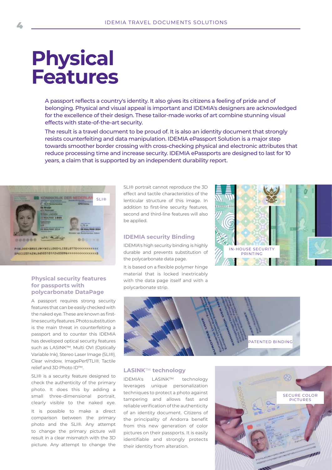## **Physical Features**

A passport reflects a country's identity. It also gives its citizens a feeling of pride and of belonging. Physical and visual appeal is important and IDEMIA's designers are acknowledged for the excellence of their design. These tailor-made works of art combine stunning visual effects with state-of-the-art security.

The result is a travel document to be proud of. It is also an identity document that strongly resists counterfeiting and data manipulation. IDEMIA ePassport Solution is a major step towards smoother border crossing with cross-checking physical and electronic attributes that reduce processing time and increase security. IDEMIA ePassports are designed to last for 10 years, a claim that is supported by an independent durability report.



#### **Physical security features for passports with polycarbonate DataPage**

A passport requires strong security features that can be easily checked with the naked eye. These are known as firstline security features. Photo substitution is the main threat in counterfeiting a passport and to counter this IDEMIA has developed optical security features such as LASINK™, Multi OVI (Optically Variable Ink), Stereo Laser Image (SLI®), Clear window, ImagePerf/TLI®, Tactile relief and 3D Photo ID™.

SLI® is a security feature designed to check the authenticity of the primary photo. It does this by adding a small three-dimensional portrait, clearly visible to the naked eye. It is possible to make a direct comparison between the primary photo and the SLI®. Any attempt to change the primary picture will result in a clear mismatch with the 3D picture. Any attempt to change the SLI® portrait cannot reproduce the 3D effect and tactile characteristics of the lenticular structure of this image. In addition to first-line security features second and third-line features will also be applied.

#### **IDEMIA security Binding**

IDEMIA's high security binding is highly durable and prevents substitution of the polycarbonate data page.

It is based on a flexible polymer hinge material that is locked inextricably with the data page itself and with a polycarbonate strip.





#### **LASINK**™ **technology**

IDEMIA's LASINK™ technology leverages unique personalization techniques to protect a photo against tampering and allows fast and reliable verification of the authenticity of an identity document. Citizens of the principality of Andorra benefit from this new generation of color pictures on their passports. It is easily identifiable and strongly protects their identity from alteration.

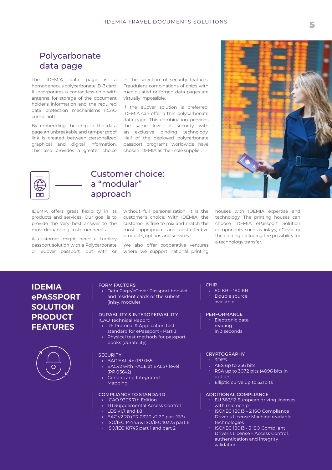## Polycarbonate data page

The IDEMIA data page is a homogeneous polycarbonate ID-3 card. It incorporates a contactless chip with antenna for storage of the document holder's information and the required data protection mechanisms (ICAO compliant).

By embedding the chip in the data page an unbreakable and tamper proof link is created between personalized graphical and digital information. This also provides a greater choice

in the selection of security features. Fraudulent combinations of chips with manipulated or forged data pages are virtually impossible.

If the eCover solution is preferred, IDEMIA can offer a thin polycarbonate data page. This combination provides the same level of security with an exclusive binding technology. Half of the deployed polycarbonate passport programs worldwide have chosen IDEMIA as their sole supplier.



### Customer choice: a "modular" approach

IDEMIA offers great flexibility in its products and services. Our goal is to provide the very best answer to the most demanding customer needs.

A customer might need a turnkey passport solution with a Polycarbonate or eCover passport, but with or without full personalization. It is the customer's choice. With IDEMIA, the customer is free to mix and match the most appropriate and cost-effective products, options and services.

We also offer cooperative ventures where we support national printing



houses with IDEMIA expertise and technology. The printing houses can choose IDEMIA ePassport Solution components such as inlays, eCover or the binding, including the possibility for a technology transfer.

### **IDEMIA ePASSPORT SOLUTION PRODUCT FEATURES**



#### FORM FACTORS

› Data Page/eCover Passport booklet and resident cards or the subset (inlay, module)

#### DURABILITY & INTEROPERABILITY ICAO Technical Report:

- › RF Protocol & Application test
- standard for ePassport Part 3,
- Physical test methods for passport books (durability).

#### **SECURITY**

- › BAC EAL 4+ (PP 055)
- EACv2 with PACE at EAL5+ level
- (PP 056v2)
- **Generic and Integrated** Mapping

#### COMPLIANCE TO STANDARD

- › ICAO 9303 7th Edition
- **TR Supplemental Access Control**
- $\rightarrow$  LDS v1.7 and 1.8
- › EAC v2.20 (TR 03110 v2.20 part 1&3)
- › ISO/IEC 14443 & ISO/IEC 10373 part 6
- › ISO/IEC 18745 part 1 and part 2

#### CHIP

- $\rightarrow$  80 KB 180 KB
- Double source
	- available

#### PERFORMANCE

- › Electronic data
- reading
	- in 3 seconds

#### **CRYPTOGRAPHY**

- › 3DES
- AES up to 256 bits
- RSA up to 3072 bits (4096 bits in option)
- Elliptic curve up to 521bits

#### ADDITIONAL COMPLIANCE

- › EU 383/12 European driving licenses with microchip
- › ISO/IEC 18013 2 ISO Compliance Driver's License Machine readable technologies
- › ISO/IEC 18013 3 ISO Compliant Driver's License – Access Control, authentication and integrity validation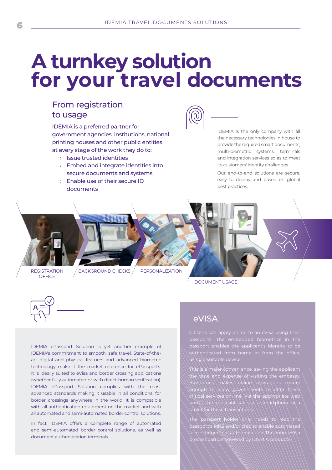## **A turnkey solution for your travel documents**

## From registration to usage

IDEMIA is a preferred partner for government agencies, institutions, national printing houses and other public entities at every stage of the work they do to:

- › Issue trusted identities
- $\rightarrow$  Embed and integrate identities into secure documents and systems
- › Enable use of their secure ID documents



IDEMIA is the only company with all the necessary technologies in house to provide the required smart documents, multi-biometric systems, terminals and integration services so as to meet its customers' identity challenges.

Our end-to-end solutions are secure, easy to deploy and based on global best practices.

**REGISTRATION OFFICE** 

 $\sqrt{\phantom{a}}$ BACKGROUND CHECKS  $\sqrt{\phantom{a}}$  PERSONALIZATION

DOCUMENT USAGE



IDEMIA ePassport Solution is yet another example of IDEMIA's commitment to smooth, safe travel. State-of-theart digital and physical features and advanced biometric technology make it the market reference for ePassports. It is ideally suited to eVisa and border crossing applications (whether fully automated or with direct human verification). IDEMIA ePassport Solution complies with the most advanced standards making it usable in all conditions, for border crossings anywhere in the world. It is compatible with all authentication equipment on the market and with all automated and semi-automated border control solutions.

In fact, IDEMIA offers a complete range of automated and semi-automated border control solutions, as well as document authentication terminals.

## eVISA

passport enables the applicant's identity to be authenticated from home or from the office, ng a suitable device

This is a major convenience, saving the applicant the time and expense of visiting the embassy.  $\mathcal B$ iometrics \ makes \ online \ operations secure enough to allow governments to offer these critical services on-line. Via the appropriate web portal, the applicant can use a smartphone or a tablet for these transactions.

The passport holder only needs to read the passport's MRZ and/or chip to enable automated face or fingerprint authentication. The entire eVisa process can be powered by IDEMIA products.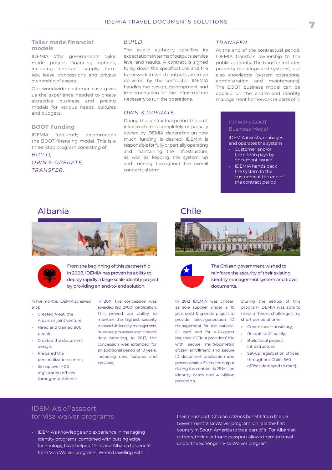#### **Tailor made financial models**

IDEMIA offer governments tailor made project financing options, including: contract supply, turnkey, lease, concessions and private ownership of assets.

Our worldwide customer base gives us the experience needed to create attractive business and pricing models for various needs, cultures and budgets.

#### **BOOT Funding**

IDEMIA frequently recommends the BOOT financing model. This is a three-step program consisting of:

*BUILD, OWN & OPER ATE, TRANSFER.*

#### *BUILD*

The public authority specifies its expectations in terms of outputs: service level and results. A contract is signed to lay down the specifications and the framework in which outputs are to be delivered by the contractor. IDEMIA handles the design, development and implementation of the infrastructure necessary to run the operations.

#### *OWN & OPERATE*

During the contractual period, the built infrastructure is completely or partially owned by IDEMIA, depending on how much funding is desired. IDEMIA is responsible for fully or partially operating and maintaining the infrastructure, as well as keeping the system up and running throughout the overall contractual term.

#### *TRANSFER*

At the end of the contractual period, IDEMIA transfers ownership to the public authority. The transfer includes property (buildings and systems) but also knowledge (system operations, administration and maintenance). The BOOT business model can be applied on the end-to-end identity management framework or parts of it.

#### IDEMIA's BOOT Business Model

IDEMIA invests, manages and operates the system

- › Customer and/or the citizen pays by document issued
- IDEMIA hands back the system to the customer at the end of the contract period

### Albania Chile





From the beginning of this partnership in 2008, IDEMIA has proven its ability to deploy rapidly a large scale identity project by providing an end-to-end solution.

#### In five months, IDEMIA achieved a lot:

- › Created Aleat, the Albanian joint venture;
- › Hired and trained 800 people;
- › Created the document design;
- › Prepared the personalization center;
- Set up over 400 registration offices throughout Albania.

In 2011, the concession was awarded ISO 27001 certification. This proved our ability to maintain the highest security standards in identity management business processes and citizens' data handling. In 2013, the concession was extended for an additional period of 10 years, including new features and services.





The Chilean government wished to reinforce the security of their existing identity management system and travel documents.

In 2012 IDEMIA was chosen as sole supplier under a 10 year build & operate project to provide latest-generation ID management for the national ID card and for e-Passport issuance. IDEMIA provides Chile with secure multi-biometric citizen enrollment and secure ID document production and personalization. Estimated output during the contract is 25 Million identity cards and 4 Million passports.

During the set-up of this program IDEMIA was able to meet different challenges in a short period of time:

- › Create local subsidiary;
- › Recruit staff locally; › Build local project infrastructure;
- Set-up registration offices throughout Chile (650 offices deployed to date).

### IDEMIA's ePassport for Visa waiver programs

› IDEMIA's knowledge and experience in managing identity programs, combined with cutting edge technology, have helped Chile and Albania to benefit from Visa Waiver programs. When travelling with

their ePassport, Chilean citizens benefit from the US Government Visa Waiver program. Chile is the first country in South America to be a part of it. For Albanian citizens, their electronic passport allows them to travel under the Schengen Visa Waiver program.